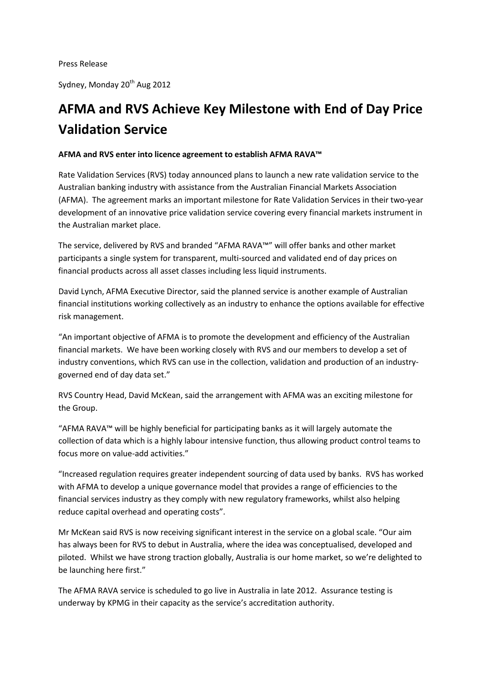Sydney, Monday 20<sup>th</sup> Aug 2012

## **AFMA and RVS Achieve Key Milestone with End of Day Price Validation Service**

## **AFMA and RVS enter into licence agreement to establish AFMA RAVA™**

Rate Validation Services (RVS) today announced plans to launch a new rate validation service to the Australian banking industry with assistance from the Australian Financial Markets Association (AFMA). The agreement marks an important milestone for Rate Validation Services in their two-year development of an innovative price validation service covering every financial markets instrument in the Australian market place.

The service, delivered by RVS and branded "AFMA RAVA™" will offer banks and other market participants a single system for transparent, multi-sourced and validated end of day prices on financial products across all asset classes including less liquid instruments.

David Lynch, AFMA Executive Director, said the planned service is another example of Australian financial institutions working collectively as an industry to enhance the options available for effective risk management.

"An important objective of AFMA is to promote the development and efficiency of the Australian financial markets. We have been working closely with RVS and our members to develop a set of industry conventions, which RVS can use in the collection, validation and production of an industrygoverned end of day data set."

RVS Country Head, David McKean, said the arrangement with AFMA was an exciting milestone for the Group.

"AFMA RAVA™ will be highly beneficial for participating banks as it will largely automate the collection of data which is a highly labour intensive function, thus allowing product control teams to focus more on value-add activities."

"Increased regulation requires greater independent sourcing of data used by banks. RVS has worked with AFMA to develop a unique governance model that provides a range of efficiencies to the financial services industry as they comply with new regulatory frameworks, whilst also helping reduce capital overhead and operating costs".

Mr McKean said RVS is now receiving significant interest in the service on a global scale. "Our aim has always been for RVS to debut in Australia, where the idea was conceptualised, developed and piloted. Whilst we have strong traction globally, Australia is our home market, so we're delighted to be launching here first."

The AFMA RAVA service is scheduled to go live in Australia in late 2012. Assurance testing is underway by KPMG in their capacity as the service's accreditation authority.